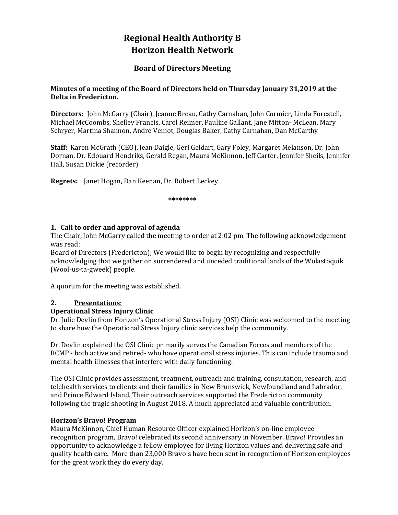# **Regional Health Authority B Horizon Health Network**

# **Board of Directors Meeting**

#### **Minutes of a meeting of the Board of Directors held on Thursday January 31,2019 at the Delta in Fredericton.**

**Directors:** John McGarry (Chair), Jeanne Breau, Cathy Carnahan, John Cormier, Linda Forestell, Michael McCoombs, Shelley Francis, Carol Reimer, Pauline Gallant, Jane Mitton- McLean, Mary Schryer, Martina Shannon, Andre Veniot, Douglas Baker, Cathy Carnahan, Dan McCarthy

**Staff:** Karen McGrath (CEO), Jean Daigle, Geri Geldart, Gary Foley, Margaret Melanson, Dr. John Dornan, Dr. Edouard Hendriks, Gerald Regan, Maura McKinnon, Jeff Carter, Jennifer Sheils, Jennifer Hall, Susan Dickie (recorder)

**Regrets:** Janet Hogan, Dan Keenan, Dr. Robert Leckey

**\*\*\*\*\*\*\*\***

#### **1. Call to order and approval of agenda**

The Chair, John McGarry called the meeting to order at 2:02 pm. The following acknowledgement was read:

Board of Directors (Fredericton); We would like to begin by recognizing and respectfully acknowledging that we gather on surrendered and unceded traditional lands of the Wolastoquik (Wool‐us‐ta‐gweek) people. 

A quorum for the meeting was established.

#### **2. Presentations**:

#### **Operational Stress Injury Clinic**

Dr. Julie Devlin from Horizon's Operational Stress Injury (OSI) Clinic was welcomed to the meeting to share how the Operational Stress Injury clinic services help the community.

Dr. Devlin explained the OSI Clinic primarily serves the Canadian Forces and members of the RCMP - both active and retired- who have operational stress injuries. This can include trauma and mental health illnesses that interfere with daily functioning.

The OSI Clinic provides assessment, treatment, outreach and training, consultation, research, and telehealth services to clients and their families in New Brunswick, Newfoundland and Labrador, and Prince Edward Island. Their outreach services supported the Fredericton community following the tragic shooting in August 2018. A much appreciated and valuable contribution.

#### **Horizon's Bravo! Program**

Maura McKinnon, Chief Human Resource Officer explained Horizon's on-line employee recognition program, Bravo! celebrated its second anniversary in November. Bravo! Provides an opportunity to acknowledge a fellow employee for living Horizon values and delivering safe and quality health care. More than 23,000 Bravo!s have been sent in recognition of Horizon employees for the great work they do every day.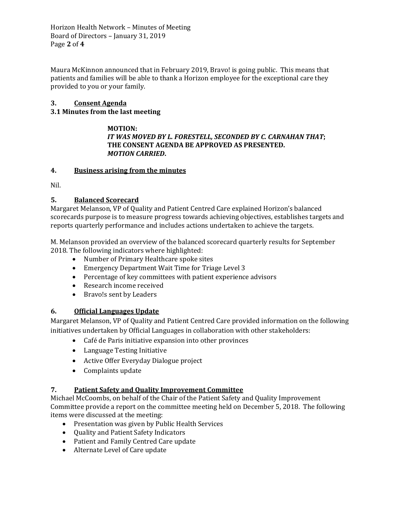Horizon Health Network - Minutes of Meeting Board of Directors - January 31, 2019 Page **2** of **4**

Maura McKinnon announced that in February 2019, Bravo! is going public. This means that patients and families will be able to thank a Horizon employee for the exceptional care they provided to you or your family.

## **3. Consent Agenda**

#### **3.1 Minutes from the last meeting**

#### **MOTION:** *IT WAS MOVED BY L. FORESTELL, SECONDED BY C. CARNAHAN THAT***; THE CONSENT AGENDA BE APPROVED AS PRESENTED.** *MOTION CARRIED***.**

#### **4. Business arising from the minutes**

Nil. 

## **5. Balanced Scorecard**

Margaret Melanson, VP of Quality and Patient Centred Care explained Horizon's balanced scorecards purpose is to measure progress towards achieving objectives, establishes targets and reports quarterly performance and includes actions undertaken to achieve the targets.

M. Melanson provided an overview of the balanced scorecard quarterly results for September 2018. The following indicators where highlighted:

- Number of Primary Healthcare spoke sites
- Emergency Department Wait Time for Triage Level 3
- Percentage of key committees with patient experience advisors
- Research income received
- Bravo!s sent by Leaders

#### **6. Official Languages Update**

Margaret Melanson, VP of Quality and Patient Centred Care provided information on the following initiatives undertaken by Official Languages in collaboration with other stakeholders:

- Café de Paris initiative expansion into other provinces
- Language Testing Initiative
- Active Offer Everyday Dialogue project
- Complaints update

# **7. Patient Safety and Quality Improvement Committee**

Michael McCoombs, on behalf of the Chair of the Patient Safety and Quality Improvement Committee provide a report on the committee meeting held on December 5, 2018. The following items were discussed at the meeting:

- Presentation was given by Public Health Services
- Quality and Patient Safety Indicators
- Patient and Family Centred Care update
- Alternate Level of Care update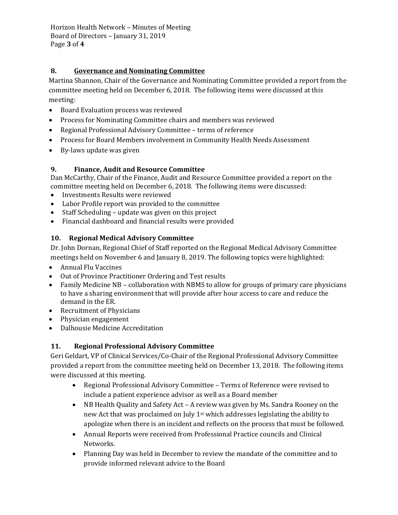Horizon Health Network - Minutes of Meeting Board of Directors - January 31, 2019 Page **3** of **4**

# **8. Governance and Nominating Committee**

Martina Shannon, Chair of the Governance and Nominating Committee provided a report from the committee meeting held on December 6, 2018. The following items were discussed at this meeting: 

- Board Evaluation process was reviewed
- Process for Nominating Committee chairs and members was reviewed
- Regional Professional Advisory Committee terms of reference
- Process for Board Members involvement in Community Health Needs Assessment
- By-laws update was given

# **9. Finance, Audit and Resource Committee**

Dan McCarthy, Chair of the Finance, Audit and Resource Committee provided a report on the committee meeting held on December 6, 2018. The following items were discussed:

- Investments Results were reviewed
- Labor Profile report was provided to the committee
- Staff Scheduling update was given on this project
- Financial dashboard and financial results were provided

# **10. Regional Medical Advisory Committee**

Dr. John Dornan, Regional Chief of Staff reported on the Regional Medical Advisory Committee meetings held on November 6 and January 8, 2019. The following topics were highlighted:

- Annual Flu Vaccines
- Out of Province Practitioner Ordering and Test results
- Family Medicine NB collaboration with NBMS to allow for groups of primary care physicians to have a sharing environment that will provide after hour access to care and reduce the demand in the ER.
- Recruitment of Physicians
- Physician engagement
- Dalhousie Medicine Accreditation

# **11. Regional Professional Advisory Committee**

Geri Geldart, VP of Clinical Services/Co-Chair of the Regional Professional Advisory Committee provided a report from the committee meeting held on December 13, 2018. The following items were discussed at this meeting.

- Regional Professional Advisory Committee Terms of Reference were revised to include a patient experience advisor as well as a Board member
- NB Health Quality and Safety Act A review was given by Ms. Sandra Rooney on the new Act that was proclaimed on July 1<sup>st</sup> which addresses legislating the ability to apologize when there is an incident and reflects on the process that must be followed.
- Annual Reports were received from Professional Practice councils and Clinical Networks.
- Planning Day was held in December to review the mandate of the committee and to provide informed relevant advice to the Board